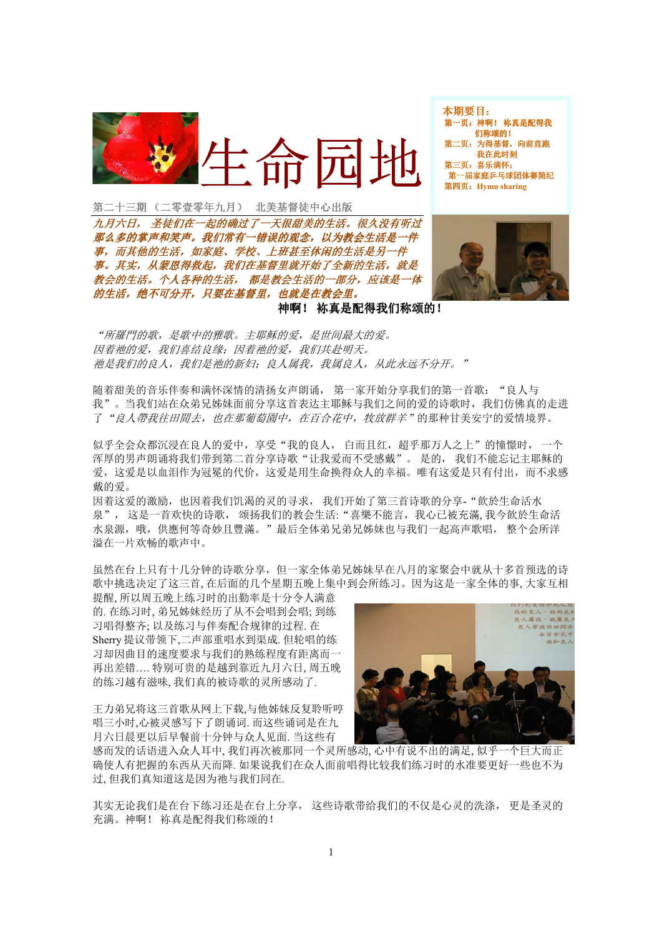

本期要目: 第一页: 神啊! 祢真是配得我 们称颂的! 页: 为得基督, 向前直跑 我在此时刻 第三页: 喜乐满怀: 第一届家庭乒乓球团体赛简纪 第四页: Hymn sharing

第二十三期 (二零壹零年九月) 北美基督徒中心出版

九月六日, 圣徒们在一起的确过了一天很甜美的生活。很久没有听过 那么多的掌声和笑声。我们常有一错误的观念,以为教会生活是一件 事,而其他的生活,如家庭、学校、上班甚至休闲的生活是另一件 事。其实。从蒙恩得救起。我们在基督里就开始了全新的生活。就是 教会的生活。个人各种的生活,都是教会生活的一部分,应该是一体 的生活, 绝不可分开, 只要在基督里, 也就是在教会里。



神啊! 祢真是配得我们称颂的!

"所羅門的歌,是歌中的雅歌。主耶稣的爱,是世间最大的爱。 因着祂的爱,我们喜结良缘:因着祂的爱,我们共赴明天。 祂是我们的良人,我们是祂的新妇;良人属我,我属良人,从此永远不分开。"

随着甜美的音乐伴奏和满怀深情的清扬女声朗诵, 第一家开始分享我们的第一首歌: "良人与 我"。当我们站在众弟兄姊妹面前分享这首表达主耶稣与我们之间的爱的诗歌时,我们仿佛真的走进 了"良人帶我往田間去,也在那葡萄園中,在百合花中,牧放群羊"的那种甘美安宁的爱情境界。

似乎全会众都沉浸在良人的爱中, 享受"我的良人, 白而且红, 超乎那万人之上"的憧憬时, 一个 浑厚的男声朗诵将我们带到第二首分享诗歌"让我爱而不受感戴"。是的,我们不能忘记主耶稣的 爱, 这爱是以血泪作为冠冕的代价, 这爱是用生命换得众人的幸福。唯有这爱是只有付出, 而不求感 戴的爱。

因着这爱的激励,也因着我们饥渴的灵的寻求, 我们开始了第三首诗歌的分享- "飲於生命活水 泉", 这是一首欢快的诗歌, 颂扬我们的教会生活: "喜樂不能言, 我心已被充滿,我今飲於生命活 水泉源, 哦, 供應何等奇妙且豐滿。"最后全体弟兄弟兄姊妹也与我们一起高声歌唱, 整个会所洋 溢在一片欢畅的歌声中。

虽然在台上只有十几分钟的诗歌分享,但一家全体弟兄姊妹早在八月的家聚会中就从十多首预选的诗 歌中挑选决定了这三首, 在后面的几个星期五晚上集中到会所练习。因为这是一家全体的事, 大家互相

提醒,所以周五晚上练习时的出勤率是十分令人满意 的. 在练习时, 弟兄姊妹经历了从不会唱到会唱; 到练 习唱得整齐;以及练习与伴奏配合规律的过程. 在 Sherry 提议带领下,二声部重唱水到渠成. 但轮唱的练 习却因曲目的速度要求与我们的熟练程度有距离而一 再出差错.... 特别可贵的是越到靠近九月六日, 周五晚 的练习越有滋味,我们真的被诗歌的灵所感动了.

王力弟兄将这三首歌从网上下载,与他姊妹反复聆听哼 唱三小时,心被灵感写下了朗诵词. 而这些诵词是在九 月六日晨更以后早餐前十分钟与众人见面, 当这些有



感而发的话语进入众人耳中,我们再次被那同一个灵所感动,心中有说不出的满足,似乎一个巨大而正 确使人有把握的东西从天而降. 如果说我们在众人面前唱得比较我们练习时的水准要更好一些也不为 过,但我们真知道这是因为祂与我们同在.

其实无论我们是在台下练习还是在台上分享, 这些诗歌带给我们的不仅是心灵的洗涤, 更是圣灵的 充满。神啊! 祢真是配得我们称颂的!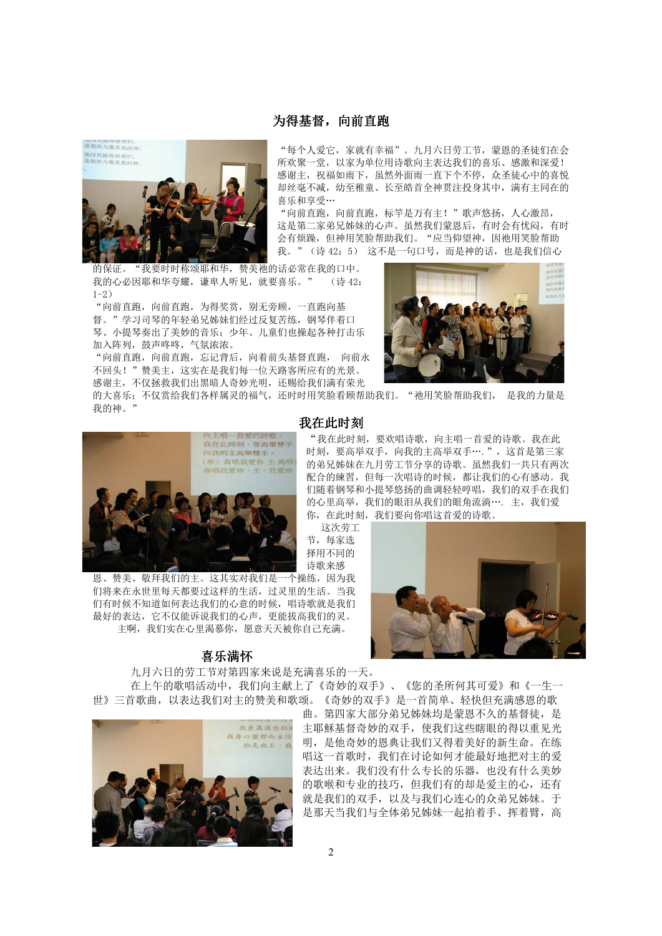## 为得基督,向前直跑



"每个人爱它, 家就有幸福"。九月六日劳工节, 蒙恩的圣徒们在会 所欢聚一堂, 以家为单位用诗歌向主表达我们的喜乐、感激和深爱! 感谢主, 祝福如雨下, 虽然外面雨一直下个不停, 众圣徒心中的喜悦 却丝毫不减, 幼至稚童、长至皓首全神贯注投身其中, 满有主同在的 喜乐和享受…

"向前直跑, 向前直跑, 标竿是万有主!"歌声悠扬, 人心激昂, 这是第二家弟兄姊妹的心声。虽然我们蒙恩后,有时会有忧闷,有时 会有烦躁, 但神用笑脸帮助我们。"应当仰望神, 因祂用笑脸帮助 我。"(诗42:5) 这不是一句口号,而是神的话,也是我们信心

"我要时时称颂耶和华, 赞美祂的话必常在我的口中。 的保证。 我的心必因耶和华夸耀,谦卑人听见,就要喜乐。" (诗 42.  $1 - 2$ )

"向前直跑, 向前直跑, 为得奖赏, 别无旁顾, 一直跑向基 督。"学习司琴的年轻弟兄姊妹们经过反复苦练,钢琴伴着口 琴、小提琴奏出了美妙的音乐; 少年、儿童们也操起各种打击乐 加入阵列, 鼓声咚咚, 气氛浓浓。

"向前直跑,向前直跑,忘记背后,向着前头基督直跑, 向前永 不回头!"赞美主,这实在是我们每一位天路客所应有的光景。 感谢主, 不仅拯救我们出黑暗人奇妙光明, 还赐给我们满有荣光

的大喜乐;不仅赏给我们各样属灵的福气,还时时用笑脸看顾帮助我们。"祂用笑脸帮助我们, 是我的力量是 我的神。"



恩、赞美、敬拜我们的主。这其实对我们是一个操练,因为我 们将来在永世里每天都要过这样的生活,过灵里的生活。当我 们有时候不知道如何表达我们的心意的时候,唱诗歌就是我们 最好的表达, 它不仅能诉说我们的心声, 更能拔高我们的灵。 主啊, 我们实在心里渴慕你, 愿意天天被你自己充满。

## 喜乐满怀

九月六日的劳工节对第四家来说是充满喜乐的一天。 在上午的歌唱活动中,我们向主献上了《奇妙的双手》、《您的圣所何其可爱》和《一生一





"我在此时刻, 要欢唱诗歌, 向主唱一首爱的诗歌。我在此 时刻, 要高举双手, 向我的主高举双手…. ", 这首是第三家 的弟兄姊妹在九月劳工节分享的诗歌。虽然我们一共只有两次 配合的練習, 但每一次唱诗的时候, 都让我们的心有感动。我 们随着钢琴和小提琴悠扬的曲调轻轻哼唱, 我们的双手在我们 的心里高举,我们的眼泪从我们的眼角流淌…. 主,我们爱 你, 在此时刻, 我们要向你唱这首爱的诗歌。

这次劳工 节, 每家洗 择用不同的 诗歌来感

 $\overline{2}$ 



世》三首歌曲,以表达我们对主的赞美和歌颂。《奇妙的双手》是一首简单、轻快但充满感恩的歌 曲。第四家大部分弟兄姊妹均是蒙恩不久的基督徒,是 主耶穌基督奇妙的双手, 使我们这些瞎眼的得以重见光 明, 是他奇妙的恩典让我们又得着美好的新生命。在练 唱这一首歌时,我们在讨论如何才能最好地把对主的爱 表达出来。我们没有什么专长的乐器,也没有什么美妙 的歌喉和专业的技巧,但我们有的却是爱主的心,还有 就是我们的双手,以及与我们心连心的众弟兄姊妹。于 是那天当我们与全体弟兄姊妹一起拍着手、挥着臂, 高

## 我在此时刻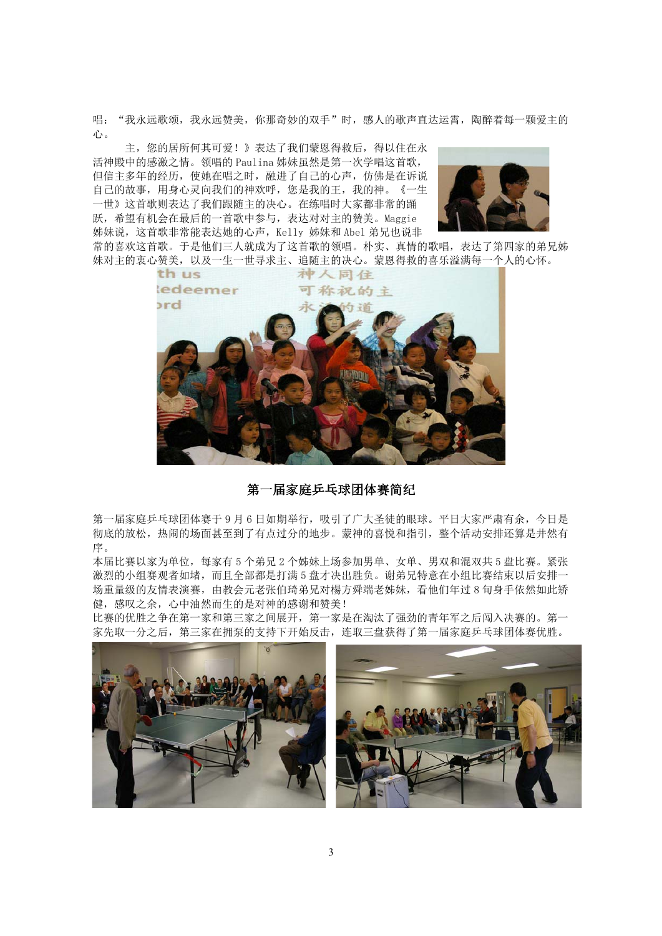唱: "我永远歌颂,我永远赞美,你那奇妙的双手"时,感人的歌声直达运霄,陶醉着每一颗爱主的 心。

主, 您的居所何其可爱!》表达了我们蒙恩得救后, 得以住在永 活神殿中的感激之情。领唱的 Paulina 姊妹虽然是第一次学唱这首歌, 但信主多年的经历, 使她在唱之时, 融进了自己的心声, 仿佛是在诉说 自己的故事, 用身心灵向我们的神欢呼, 您是我的王, 我的神。《一生 一世》这首歌则表达了我们跟随主的决心。在练唱时大家都非常的踊 跃,希望有机会在最后的一首歌中参与,表达对对主的赞美。Maggie 姊妹说, 这首歌非常能表达她的心声, Kelly 姊妹和 Abel 弟兄也说非



常的喜欢这首歌。于是他们三人就成为了这首歌的领唱。朴实、真情的歌唱,表达了第四家的弟兄姊 妹对主的衷心赞美,以及一生一世寻求主、追随主的决心。蒙恩得救的喜乐溢满每一个人的心怀。



## 第一届家庭乒乓球团体赛简纪

第一届家庭乒乓球团体赛于9月6日如期举行,吸引了广大圣徒的眼球。平日大家严肃有余,今日是 彻底的放松, 热闹的场面甚至到了有点过分的地步。蒙神的喜悦和指引, 整个活动安排还算是井然有 序。

本届比赛以家为单位,每家有5个弟兄2个姊妹上场参加男单、女单、男双和混双共5盘比赛。紧张 激烈的小组赛观者如堵,而且全部都是打满5盘才决出胜负。谢弟兄特意在小组比赛结束以后安排一 场重量级的友情表演赛,由教会元老张伯琦弟兄对楊方舜端老姊妹,看他们年过8旬身手依然如此矫 健, 感叹之余, 心中油然而生的是对神的感谢和赞美!

比赛的优胜之争在第一家和第三家之间展开, 第一家是在淘汰了强劲的青年军之后闯入决赛的。第一 家先取一分之后, 第三家在拥泵的支持下开始反击, 连取三盘获得了第一届家庭乒乓球团体赛优胜。